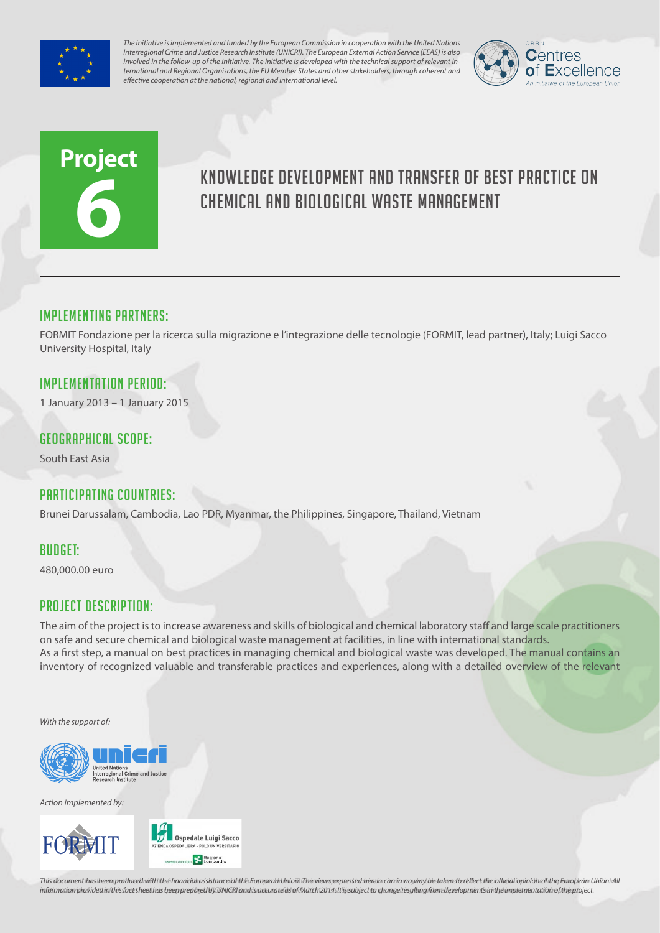

*The initiative is implemented and funded by the European Commission in cooperation with the United Nations Interregional Crime and Justice Research Institute (UNICRI). The European External Action Service (EEAS) is also involved in the follow-up of the initiative. The initiative is developed with the technical support of relevant International and Regional Organisations, the EU Member States and other stakeholders, through coherent and effective cooperation at the national, regional and international level.*



# **Project 6**

# Knowledge development and transfer of best practice on chemical and biological waste management

### Implementing partners:

FORMIT Fondazione per la ricerca sulla migrazione e l'integrazione delle tecnologie (FORMIT, lead partner), Italy; Luigi Sacco University Hospital, Italy

# Implementation Period:

1 January 2013 – 1 January 2015

#### Geographical scope:

South East Asia

# Participating countries:

Brunei Darussalam, Cambodia, Lao PDR, Myanmar, the Philippines, Singapore, Thailand, Vietnam

#### Budget:

480,000.00 euro

# Project Description:

The aim of the project is to increase awareness and skills of biological and chemical laboratory staff and large scale practitioners on safe and secure chemical and biological waste management at facilities, in line with international standards. As a first step, a manual on best practices in managing chemical and biological waste was developed. The manual contains an inventory of recognized valuable and transferable practices and experiences, along with a detailed overview of the relevant

*With the support of:*



*Action implemented by:*



This document has been produced with the financial assistance of the European Union. The views expressed herein can in no way be taken to reflect the official opinion of the European Union. All information provided in this fact sheet has been prepared by UNICRI and is accurate as of March 2014s It is subject to change resulting from developments in the implementation of the project.